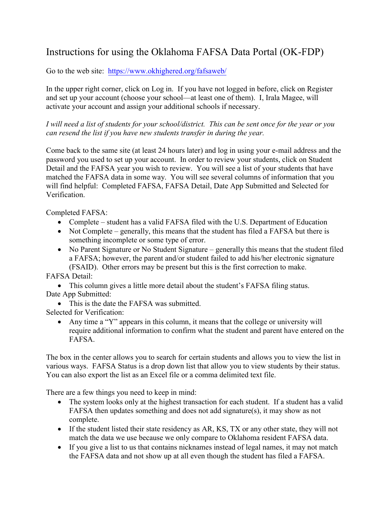## Instructions for using the Oklahoma FAFSA Data Portal (OK-FDP)

Go to the web site: <https://www.okhighered.org/fafsaweb/>

In the upper right corner, click on Log in. If you have not logged in before, click on Register and set up your account (choose your school—at least one of them). I, Irala Magee, will activate your account and assign your additional schools if necessary.

*I will need a list of students for your school/district. This can be sent once for the year or you can resend the list if you have new students transfer in during the year.* 

Come back to the same site (at least 24 hours later) and log in using your e-mail address and the password you used to set up your account. In order to review your students, click on Student Detail and the FAFSA year you wish to review. You will see a list of your students that have matched the FAFSA data in some way. You will see several columns of information that you will find helpful: Completed FAFSA, FAFSA Detail, Date App Submitted and Selected for Verification.

Completed FAFSA:

- Complete student has a valid FAFSA filed with the U.S. Department of Education
- Not Complete generally, this means that the student has filed a FAFSA but there is something incomplete or some type of error.
- No Parent Signature or No Student Signature generally this means that the student filed a FAFSA; however, the parent and/or student failed to add his/her electronic signature (FSAID). Other errors may be present but this is the first correction to make.

FAFSA Detail:

 This column gives a little more detail about the student's FAFSA filing status. Date App Submitted:

• This is the date the FAFSA was submitted.

Selected for Verification:

 Any time a "Y" appears in this column, it means that the college or university will require additional information to confirm what the student and parent have entered on the FAFSA.

The box in the center allows you to search for certain students and allows you to view the list in various ways. FAFSA Status is a drop down list that allow you to view students by their status. You can also export the list as an Excel file or a comma delimited text file.

There are a few things you need to keep in mind:

- The system looks only at the highest transaction for each student. If a student has a valid FAFSA then updates something and does not add signature(s), it may show as not complete.
- If the student listed their state residency as AR, KS, TX or any other state, they will not match the data we use because we only compare to Oklahoma resident FAFSA data.
- If you give a list to us that contains nicknames instead of legal names, it may not match the FAFSA data and not show up at all even though the student has filed a FAFSA.